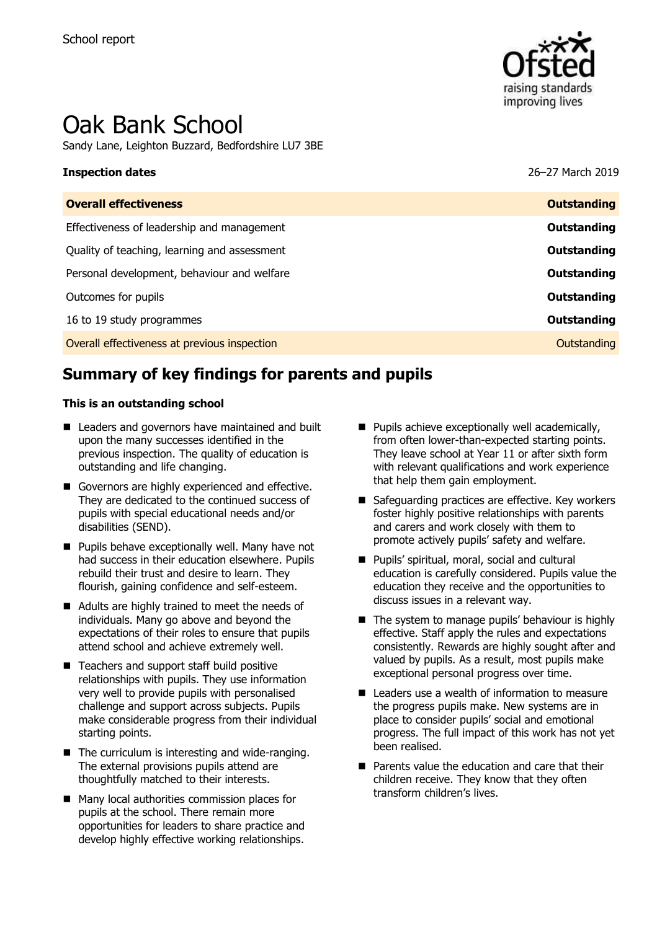

# Oak Bank School

Sandy Lane, Leighton Buzzard, Bedfordshire LU7 3BE

## **Inspection dates** 26–27 March 2019

| <b>Outstanding</b> |
|--------------------|
| <b>Outstanding</b> |
| <b>Outstanding</b> |
| Outstanding        |
| Outstanding        |
| Outstanding        |
| Outstanding        |
|                    |

## **Summary of key findings for parents and pupils**

#### **This is an outstanding school**

- Leaders and governors have maintained and built upon the many successes identified in the previous inspection. The quality of education is outstanding and life changing.
- Governors are highly experienced and effective. They are dedicated to the continued success of pupils with special educational needs and/or disabilities (SEND).
- **Pupils behave exceptionally well. Many have not** had success in their education elsewhere. Pupils rebuild their trust and desire to learn. They flourish, gaining confidence and self-esteem.
- Adults are highly trained to meet the needs of individuals. Many go above and beyond the expectations of their roles to ensure that pupils attend school and achieve extremely well.
- Teachers and support staff build positive relationships with pupils. They use information very well to provide pupils with personalised challenge and support across subjects. Pupils make considerable progress from their individual starting points.
- The curriculum is interesting and wide-ranging. The external provisions pupils attend are thoughtfully matched to their interests.
- Many local authorities commission places for pupils at the school. There remain more opportunities for leaders to share practice and develop highly effective working relationships.
- $\blacksquare$  Pupils achieve exceptionally well academically, from often lower-than-expected starting points. They leave school at Year 11 or after sixth form with relevant qualifications and work experience that help them gain employment.
- Safeguarding practices are effective. Key workers foster highly positive relationships with parents and carers and work closely with them to promote actively pupils' safety and welfare.
- **Pupils' spiritual, moral, social and cultural** education is carefully considered. Pupils value the education they receive and the opportunities to discuss issues in a relevant way.
- The system to manage pupils' behaviour is highly effective. Staff apply the rules and expectations consistently. Rewards are highly sought after and valued by pupils. As a result, most pupils make exceptional personal progress over time.
- Leaders use a wealth of information to measure the progress pupils make. New systems are in place to consider pupils' social and emotional progress. The full impact of this work has not yet been realised.
- **Parents value the education and care that their** children receive. They know that they often transform children's lives.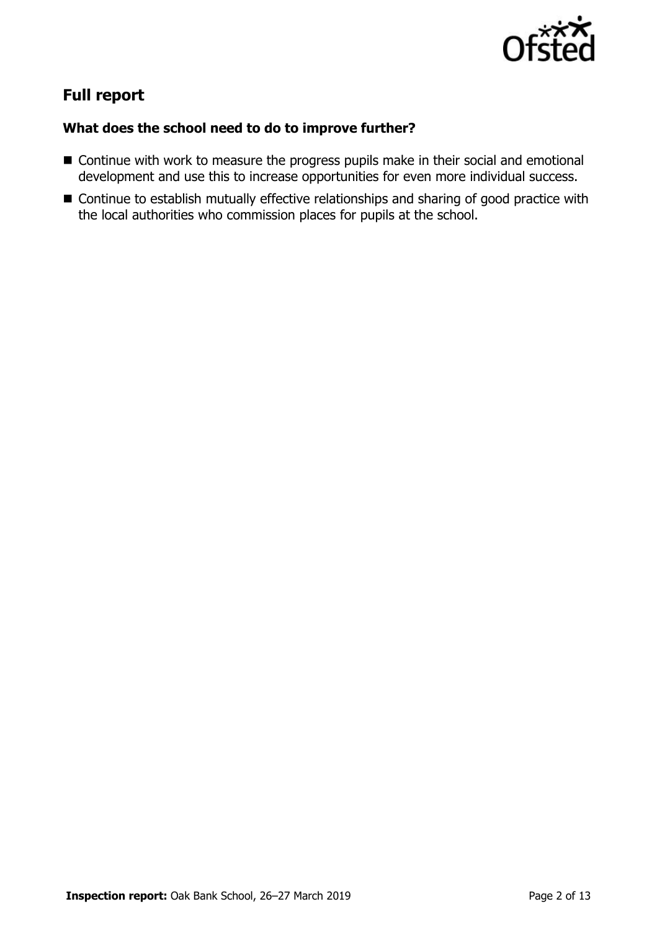

## **Full report**

### **What does the school need to do to improve further?**

- Continue with work to measure the progress pupils make in their social and emotional development and use this to increase opportunities for even more individual success.
- Continue to establish mutually effective relationships and sharing of good practice with the local authorities who commission places for pupils at the school.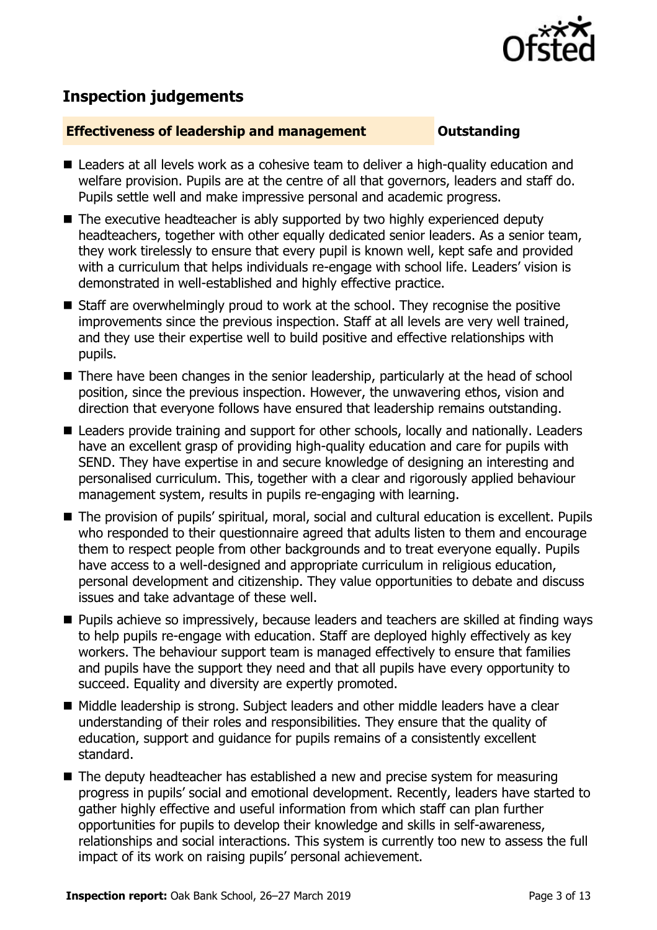

## **Inspection judgements**

#### **Effectiveness of leadership and management COULDER COULDER OUTSTANDING**

- Leaders at all levels work as a cohesive team to deliver a high-quality education and welfare provision. Pupils are at the centre of all that governors, leaders and staff do. Pupils settle well and make impressive personal and academic progress.
- The executive headteacher is ably supported by two highly experienced deputy headteachers, together with other equally dedicated senior leaders. As a senior team, they work tirelessly to ensure that every pupil is known well, kept safe and provided with a curriculum that helps individuals re-engage with school life. Leaders' vision is demonstrated in well-established and highly effective practice.
- Staff are overwhelmingly proud to work at the school. They recognise the positive improvements since the previous inspection. Staff at all levels are very well trained, and they use their expertise well to build positive and effective relationships with pupils.
- There have been changes in the senior leadership, particularly at the head of school position, since the previous inspection. However, the unwavering ethos, vision and direction that everyone follows have ensured that leadership remains outstanding.
- Leaders provide training and support for other schools, locally and nationally. Leaders have an excellent grasp of providing high-quality education and care for pupils with SEND. They have expertise in and secure knowledge of designing an interesting and personalised curriculum. This, together with a clear and rigorously applied behaviour management system, results in pupils re-engaging with learning.
- The provision of pupils' spiritual, moral, social and cultural education is excellent. Pupils who responded to their questionnaire agreed that adults listen to them and encourage them to respect people from other backgrounds and to treat everyone equally. Pupils have access to a well-designed and appropriate curriculum in religious education, personal development and citizenship. They value opportunities to debate and discuss issues and take advantage of these well.
- **Pupils achieve so impressively, because leaders and teachers are skilled at finding ways** to help pupils re-engage with education. Staff are deployed highly effectively as key workers. The behaviour support team is managed effectively to ensure that families and pupils have the support they need and that all pupils have every opportunity to succeed. Equality and diversity are expertly promoted.
- Middle leadership is strong. Subject leaders and other middle leaders have a clear understanding of their roles and responsibilities. They ensure that the quality of education, support and guidance for pupils remains of a consistently excellent standard.
- The deputy headteacher has established a new and precise system for measuring progress in pupils' social and emotional development. Recently, leaders have started to gather highly effective and useful information from which staff can plan further opportunities for pupils to develop their knowledge and skills in self-awareness, relationships and social interactions. This system is currently too new to assess the full impact of its work on raising pupils' personal achievement.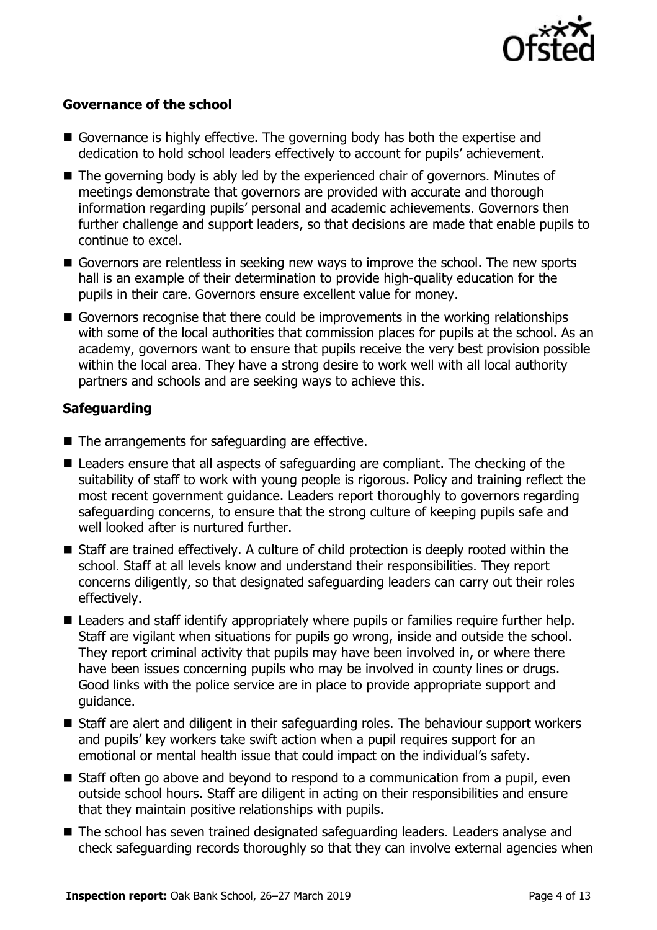

### **Governance of the school**

- Governance is highly effective. The governing body has both the expertise and dedication to hold school leaders effectively to account for pupils' achievement.
- The governing body is ably led by the experienced chair of governors. Minutes of meetings demonstrate that governors are provided with accurate and thorough information regarding pupils' personal and academic achievements. Governors then further challenge and support leaders, so that decisions are made that enable pupils to continue to excel.
- Governors are relentless in seeking new ways to improve the school. The new sports hall is an example of their determination to provide high-quality education for the pupils in their care. Governors ensure excellent value for money.
- Governors recognise that there could be improvements in the working relationships with some of the local authorities that commission places for pupils at the school. As an academy, governors want to ensure that pupils receive the very best provision possible within the local area. They have a strong desire to work well with all local authority partners and schools and are seeking ways to achieve this.

### **Safeguarding**

- $\blacksquare$  The arrangements for safeguarding are effective.
- Leaders ensure that all aspects of safeguarding are compliant. The checking of the suitability of staff to work with young people is rigorous. Policy and training reflect the most recent government guidance. Leaders report thoroughly to governors regarding safeguarding concerns, to ensure that the strong culture of keeping pupils safe and well looked after is nurtured further.
- Staff are trained effectively. A culture of child protection is deeply rooted within the school. Staff at all levels know and understand their responsibilities. They report concerns diligently, so that designated safeguarding leaders can carry out their roles effectively.
- Leaders and staff identify appropriately where pupils or families require further help. Staff are vigilant when situations for pupils go wrong, inside and outside the school. They report criminal activity that pupils may have been involved in, or where there have been issues concerning pupils who may be involved in county lines or drugs. Good links with the police service are in place to provide appropriate support and guidance.
- Staff are alert and diligent in their safeguarding roles. The behaviour support workers and pupils' key workers take swift action when a pupil requires support for an emotional or mental health issue that could impact on the individual's safety.
- $\blacksquare$  Staff often go above and beyond to respond to a communication from a pupil, even outside school hours. Staff are diligent in acting on their responsibilities and ensure that they maintain positive relationships with pupils.
- The school has seven trained designated safeguarding leaders. Leaders analyse and check safeguarding records thoroughly so that they can involve external agencies when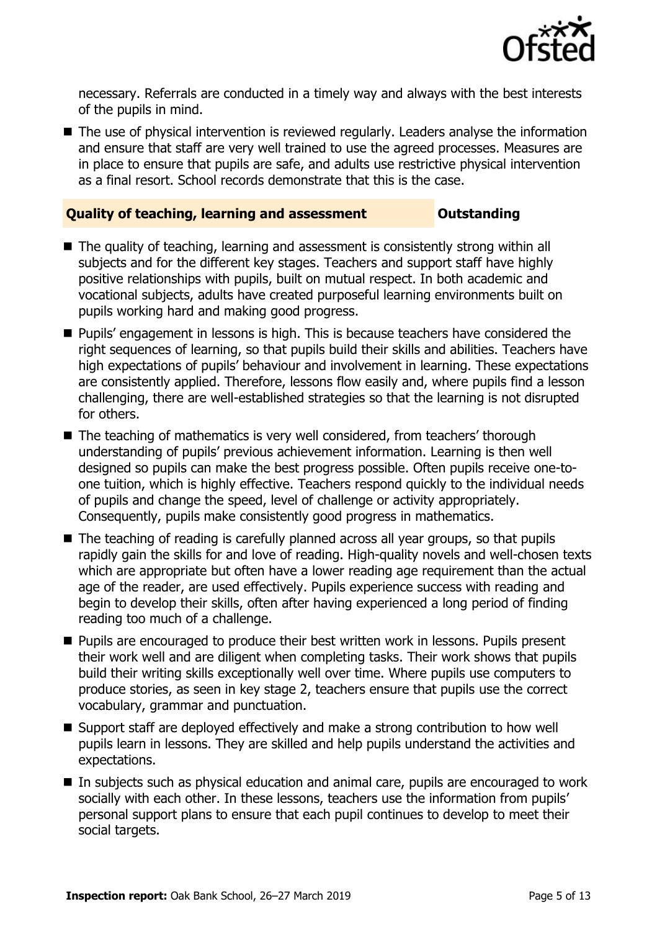

necessary. Referrals are conducted in a timely way and always with the best interests of the pupils in mind.

■ The use of physical intervention is reviewed regularly. Leaders analyse the information and ensure that staff are very well trained to use the agreed processes. Measures are in place to ensure that pupils are safe, and adults use restrictive physical intervention as a final resort. School records demonstrate that this is the case.

#### **Quality of teaching, learning and assessment Outstanding**

- The quality of teaching, learning and assessment is consistently strong within all subjects and for the different key stages. Teachers and support staff have highly positive relationships with pupils, built on mutual respect. In both academic and vocational subjects, adults have created purposeful learning environments built on pupils working hard and making good progress.
- **Pupils'** engagement in lessons is high. This is because teachers have considered the right sequences of learning, so that pupils build their skills and abilities. Teachers have high expectations of pupils' behaviour and involvement in learning. These expectations are consistently applied. Therefore, lessons flow easily and, where pupils find a lesson challenging, there are well-established strategies so that the learning is not disrupted for others.
- The teaching of mathematics is very well considered, from teachers' thorough understanding of pupils' previous achievement information. Learning is then well designed so pupils can make the best progress possible. Often pupils receive one-toone tuition, which is highly effective. Teachers respond quickly to the individual needs of pupils and change the speed, level of challenge or activity appropriately. Consequently, pupils make consistently good progress in mathematics.
- The teaching of reading is carefully planned across all year groups, so that pupils rapidly gain the skills for and love of reading. High-quality novels and well-chosen texts which are appropriate but often have a lower reading age requirement than the actual age of the reader, are used effectively. Pupils experience success with reading and begin to develop their skills, often after having experienced a long period of finding reading too much of a challenge.
- **Pupils are encouraged to produce their best written work in lessons. Pupils present** their work well and are diligent when completing tasks. Their work shows that pupils build their writing skills exceptionally well over time. Where pupils use computers to produce stories, as seen in key stage 2, teachers ensure that pupils use the correct vocabulary, grammar and punctuation.
- Support staff are deployed effectively and make a strong contribution to how well pupils learn in lessons. They are skilled and help pupils understand the activities and expectations.
- In subjects such as physical education and animal care, pupils are encouraged to work socially with each other. In these lessons, teachers use the information from pupils' personal support plans to ensure that each pupil continues to develop to meet their social targets.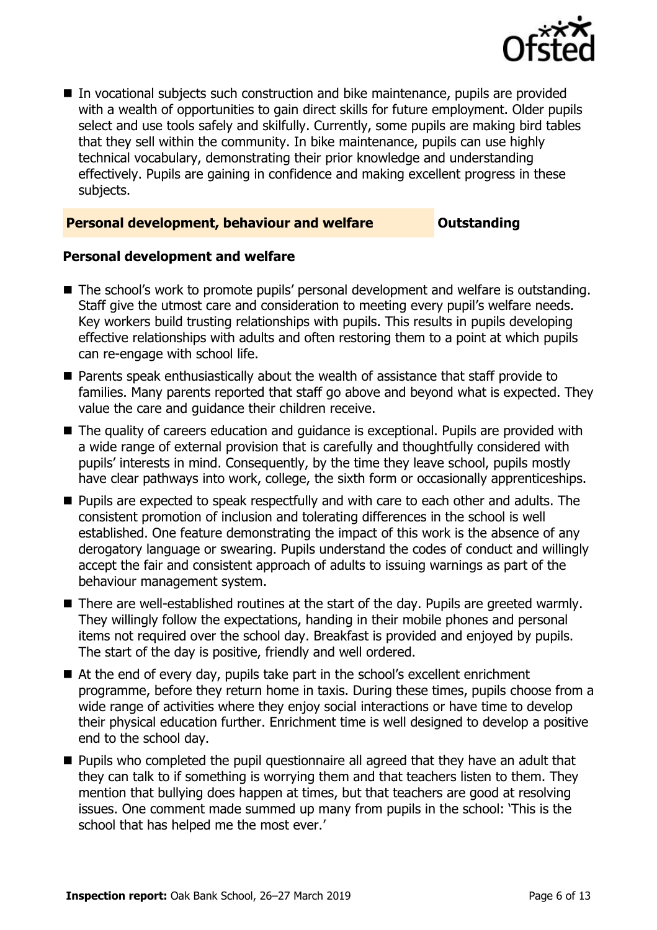

 In vocational subjects such construction and bike maintenance, pupils are provided with a wealth of opportunities to gain direct skills for future employment. Older pupils select and use tools safely and skilfully. Currently, some pupils are making bird tables that they sell within the community. In bike maintenance, pupils can use highly technical vocabulary, demonstrating their prior knowledge and understanding effectively. Pupils are gaining in confidence and making excellent progress in these subjects.

#### **Personal development, behaviour and welfare <b>COUTS** Outstanding

#### **Personal development and welfare**

- The school's work to promote pupils' personal development and welfare is outstanding. Staff give the utmost care and consideration to meeting every pupil's welfare needs. Key workers build trusting relationships with pupils. This results in pupils developing effective relationships with adults and often restoring them to a point at which pupils can re-engage with school life.
- **Parents speak enthusiastically about the wealth of assistance that staff provide to** families. Many parents reported that staff go above and beyond what is expected. They value the care and guidance their children receive.
- The quality of careers education and quidance is exceptional. Pupils are provided with a wide range of external provision that is carefully and thoughtfully considered with pupils' interests in mind. Consequently, by the time they leave school, pupils mostly have clear pathways into work, college, the sixth form or occasionally apprenticeships.
- **Pupils are expected to speak respectfully and with care to each other and adults. The** consistent promotion of inclusion and tolerating differences in the school is well established. One feature demonstrating the impact of this work is the absence of any derogatory language or swearing. Pupils understand the codes of conduct and willingly accept the fair and consistent approach of adults to issuing warnings as part of the behaviour management system.
- There are well-established routines at the start of the day. Pupils are greeted warmly. They willingly follow the expectations, handing in their mobile phones and personal items not required over the school day. Breakfast is provided and enjoyed by pupils. The start of the day is positive, friendly and well ordered.
- At the end of every day, pupils take part in the school's excellent enrichment programme, before they return home in taxis. During these times, pupils choose from a wide range of activities where they enjoy social interactions or have time to develop their physical education further. Enrichment time is well designed to develop a positive end to the school day.
- **Pupils who completed the pupil questionnaire all agreed that they have an adult that** they can talk to if something is worrying them and that teachers listen to them. They mention that bullying does happen at times, but that teachers are good at resolving issues. One comment made summed up many from pupils in the school: 'This is the school that has helped me the most ever.'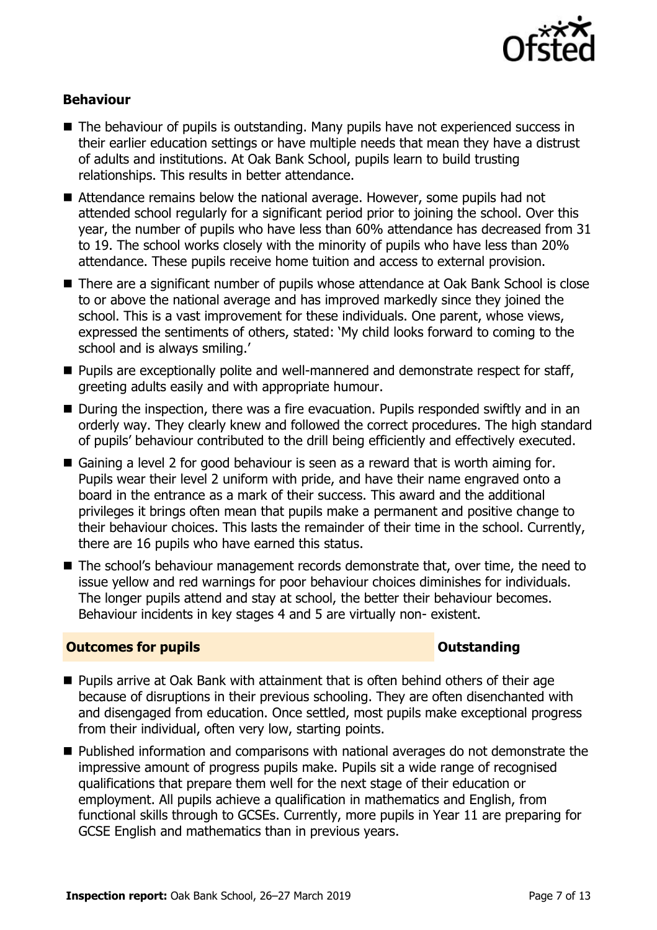

### **Behaviour**

- $\blacksquare$  The behaviour of pupils is outstanding. Many pupils have not experienced success in their earlier education settings or have multiple needs that mean they have a distrust of adults and institutions. At Oak Bank School, pupils learn to build trusting relationships. This results in better attendance.
- Attendance remains below the national average. However, some pupils had not attended school regularly for a significant period prior to joining the school. Over this year, the number of pupils who have less than 60% attendance has decreased from 31 to 19. The school works closely with the minority of pupils who have less than 20% attendance. These pupils receive home tuition and access to external provision.
- There are a significant number of pupils whose attendance at Oak Bank School is close to or above the national average and has improved markedly since they joined the school. This is a vast improvement for these individuals. One parent, whose views, expressed the sentiments of others, stated: 'My child looks forward to coming to the school and is always smiling.'
- **Pupils are exceptionally polite and well-mannered and demonstrate respect for staff,** greeting adults easily and with appropriate humour.
- During the inspection, there was a fire evacuation. Pupils responded swiftly and in an orderly way. They clearly knew and followed the correct procedures. The high standard of pupils' behaviour contributed to the drill being efficiently and effectively executed.
- Gaining a level 2 for good behaviour is seen as a reward that is worth aiming for. Pupils wear their level 2 uniform with pride, and have their name engraved onto a board in the entrance as a mark of their success. This award and the additional privileges it brings often mean that pupils make a permanent and positive change to their behaviour choices. This lasts the remainder of their time in the school. Currently, there are 16 pupils who have earned this status.
- The school's behaviour management records demonstrate that, over time, the need to issue yellow and red warnings for poor behaviour choices diminishes for individuals. The longer pupils attend and stay at school, the better their behaviour becomes. Behaviour incidents in key stages 4 and 5 are virtually non- existent.

#### **Outcomes for pupils Outstanding**

- Pupils arrive at Oak Bank with attainment that is often behind others of their age because of disruptions in their previous schooling. They are often disenchanted with and disengaged from education. Once settled, most pupils make exceptional progress from their individual, often very low, starting points.
- Published information and comparisons with national averages do not demonstrate the impressive amount of progress pupils make. Pupils sit a wide range of recognised qualifications that prepare them well for the next stage of their education or employment. All pupils achieve a qualification in mathematics and English, from functional skills through to GCSEs. Currently, more pupils in Year 11 are preparing for GCSE English and mathematics than in previous years.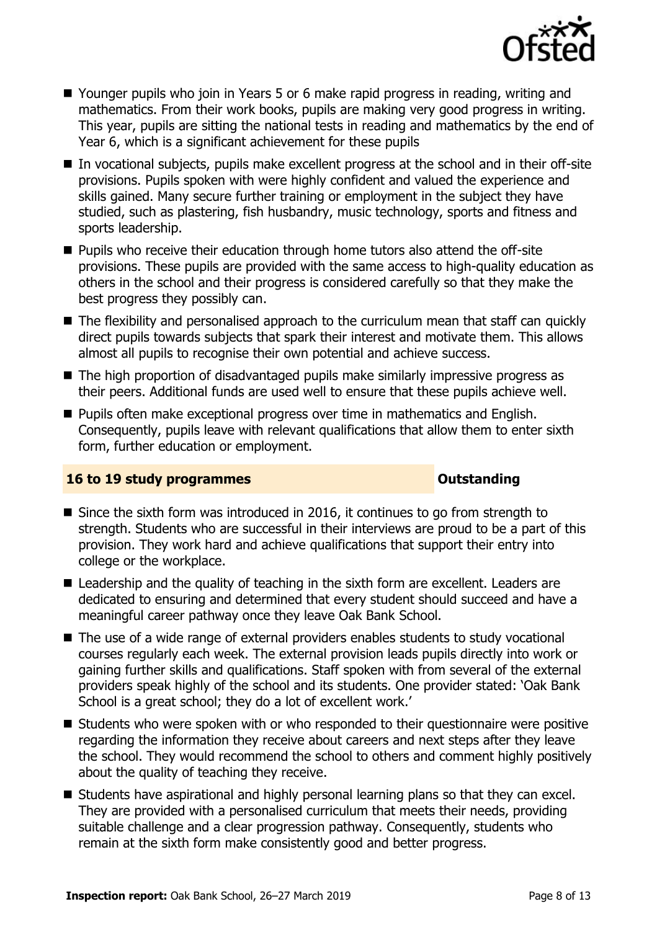

- Younger pupils who join in Years 5 or 6 make rapid progress in reading, writing and mathematics. From their work books, pupils are making very good progress in writing. This year, pupils are sitting the national tests in reading and mathematics by the end of Year 6, which is a significant achievement for these pupils
- In vocational subjects, pupils make excellent progress at the school and in their off-site provisions. Pupils spoken with were highly confident and valued the experience and skills gained. Many secure further training or employment in the subject they have studied, such as plastering, fish husbandry, music technology, sports and fitness and sports leadership.
- **Pupils who receive their education through home tutors also attend the off-site** provisions. These pupils are provided with the same access to high-quality education as others in the school and their progress is considered carefully so that they make the best progress they possibly can.
- The flexibility and personalised approach to the curriculum mean that staff can quickly direct pupils towards subjects that spark their interest and motivate them. This allows almost all pupils to recognise their own potential and achieve success.
- The high proportion of disadvantaged pupils make similarly impressive progress as their peers. Additional funds are used well to ensure that these pupils achieve well.
- **Pupils often make exceptional progress over time in mathematics and English.** Consequently, pupils leave with relevant qualifications that allow them to enter sixth form, further education or employment.

### **16 to 19 study programmes Distances Outstanding**

- Since the sixth form was introduced in 2016, it continues to go from strength to strength. Students who are successful in their interviews are proud to be a part of this provision. They work hard and achieve qualifications that support their entry into college or the workplace.
- Leadership and the quality of teaching in the sixth form are excellent. Leaders are dedicated to ensuring and determined that every student should succeed and have a meaningful career pathway once they leave Oak Bank School.
- The use of a wide range of external providers enables students to study vocational courses regularly each week. The external provision leads pupils directly into work or gaining further skills and qualifications. Staff spoken with from several of the external providers speak highly of the school and its students. One provider stated: 'Oak Bank School is a great school; they do a lot of excellent work.'
- Students who were spoken with or who responded to their questionnaire were positive regarding the information they receive about careers and next steps after they leave the school. They would recommend the school to others and comment highly positively about the quality of teaching they receive.
- **Students have aspirational and highly personal learning plans so that they can excel.** They are provided with a personalised curriculum that meets their needs, providing suitable challenge and a clear progression pathway. Consequently, students who remain at the sixth form make consistently good and better progress.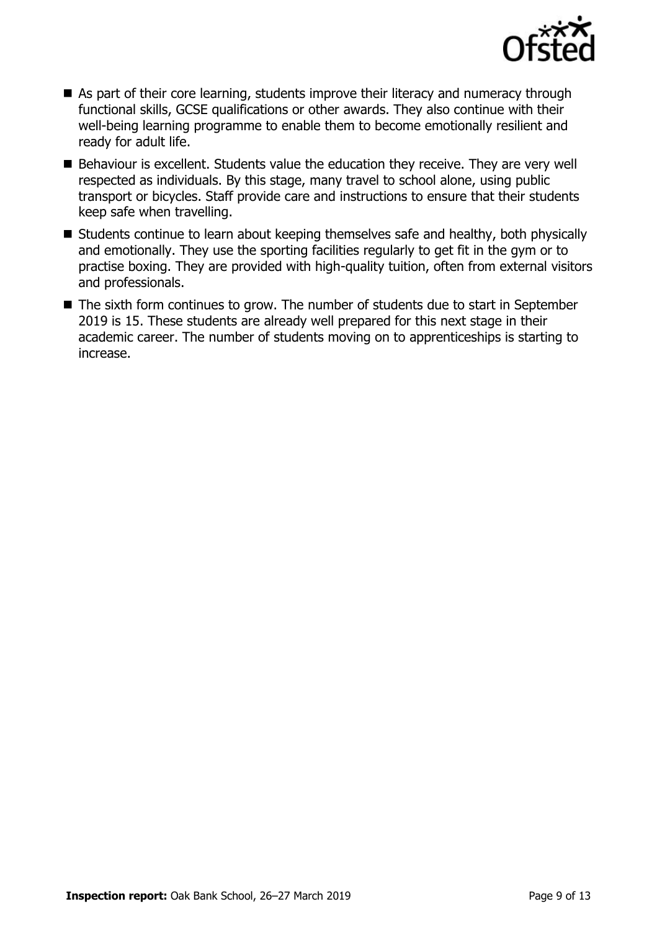

- As part of their core learning, students improve their literacy and numeracy through functional skills, GCSE qualifications or other awards. They also continue with their well-being learning programme to enable them to become emotionally resilient and ready for adult life.
- Behaviour is excellent. Students value the education they receive. They are very well respected as individuals. By this stage, many travel to school alone, using public transport or bicycles. Staff provide care and instructions to ensure that their students keep safe when travelling.
- Students continue to learn about keeping themselves safe and healthy, both physically and emotionally. They use the sporting facilities regularly to get fit in the gym or to practise boxing. They are provided with high-quality tuition, often from external visitors and professionals.
- The sixth form continues to grow. The number of students due to start in September 2019 is 15. These students are already well prepared for this next stage in their academic career. The number of students moving on to apprenticeships is starting to increase.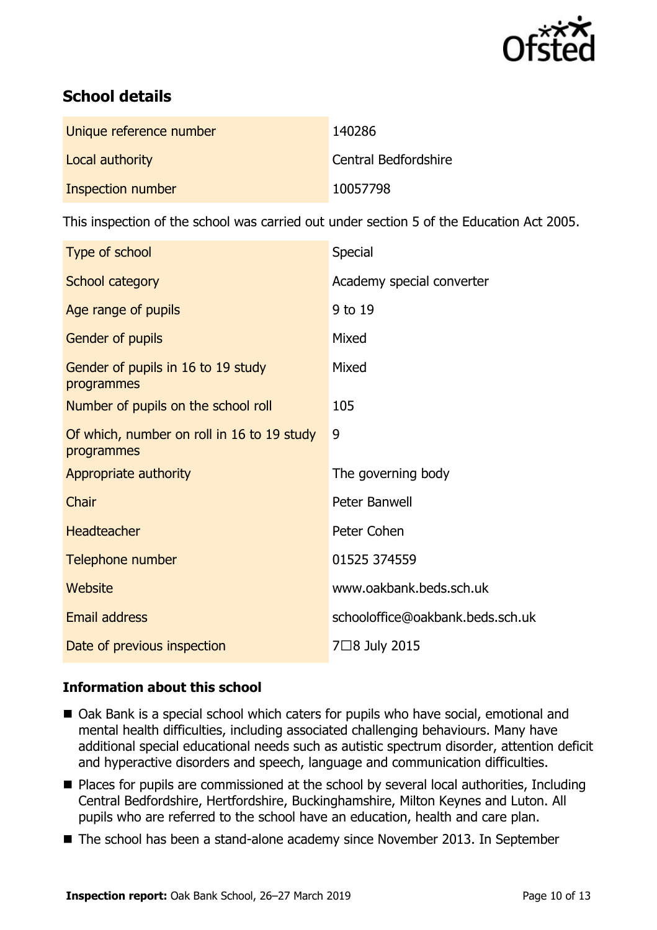

## **School details**

| Unique reference number | 140286               |
|-------------------------|----------------------|
| Local authority         | Central Bedfordshire |
| Inspection number       | 10057798             |

This inspection of the school was carried out under section 5 of the Education Act 2005.

| Type of school                                           | Special                          |
|----------------------------------------------------------|----------------------------------|
| School category                                          | Academy special converter        |
| Age range of pupils                                      | 9 to 19                          |
| Gender of pupils                                         | Mixed                            |
| Gender of pupils in 16 to 19 study<br>programmes         | Mixed                            |
| Number of pupils on the school roll                      | 105                              |
| Of which, number on roll in 16 to 19 study<br>programmes | 9                                |
| Appropriate authority                                    | The governing body               |
| Chair                                                    | Peter Banwell                    |
| <b>Headteacher</b>                                       | Peter Cohen                      |
| Telephone number                                         | 01525 374559                     |
| Website                                                  | www.oakbank.beds.sch.uk          |
| Email address                                            | schooloffice@oakbank.beds.sch.uk |
| Date of previous inspection                              | 7□8 July 2015                    |

### **Information about this school**

- Oak Bank is a special school which caters for pupils who have social, emotional and mental health difficulties, including associated challenging behaviours. Many have additional special educational needs such as autistic spectrum disorder, attention deficit and hyperactive disorders and speech, language and communication difficulties.
- Places for pupils are commissioned at the school by several local authorities, Including Central Bedfordshire, Hertfordshire, Buckinghamshire, Milton Keynes and Luton. All pupils who are referred to the school have an education, health and care plan.
- The school has been a stand-alone academy since November 2013. In September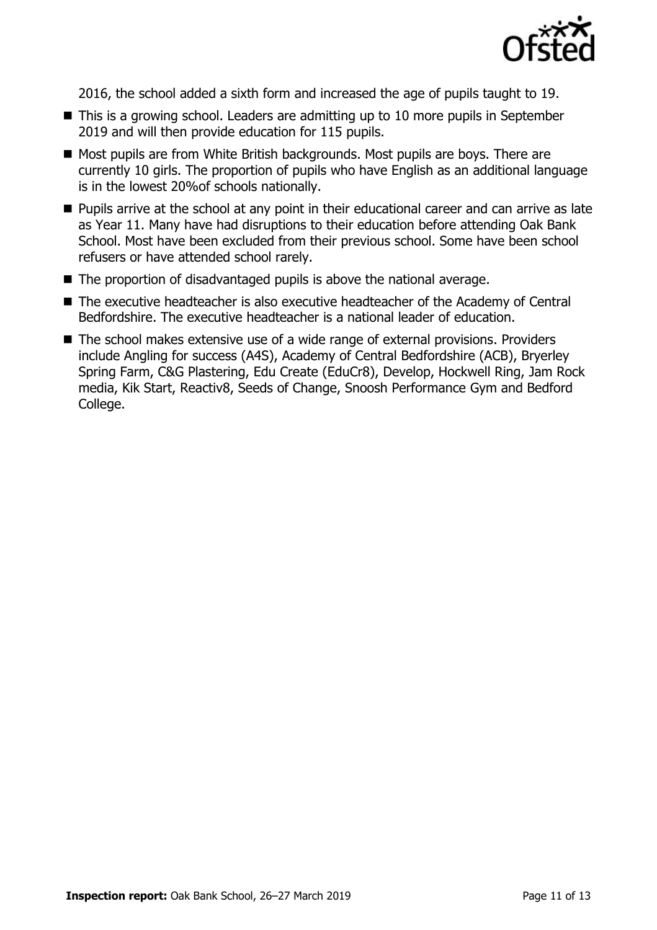

2016, the school added a sixth form and increased the age of pupils taught to 19.

- This is a growing school. Leaders are admitting up to 10 more pupils in September 2019 and will then provide education for 115 pupils.
- Most pupils are from White British backgrounds. Most pupils are boys. There are currently 10 girls. The proportion of pupils who have English as an additional language is in the lowest 20%of schools nationally.
- **Pupils arrive at the school at any point in their educational career and can arrive as late** as Year 11. Many have had disruptions to their education before attending Oak Bank School. Most have been excluded from their previous school. Some have been school refusers or have attended school rarely.
- The proportion of disadvantaged pupils is above the national average.
- The executive headteacher is also executive headteacher of the Academy of Central Bedfordshire. The executive headteacher is a national leader of education.
- The school makes extensive use of a wide range of external provisions. Providers include Angling for success (A4S), Academy of Central Bedfordshire (ACB), Bryerley Spring Farm, C&G Plastering, Edu Create (EduCr8), Develop, Hockwell Ring, Jam Rock media, Kik Start, Reactiv8, Seeds of Change, Snoosh Performance Gym and Bedford College.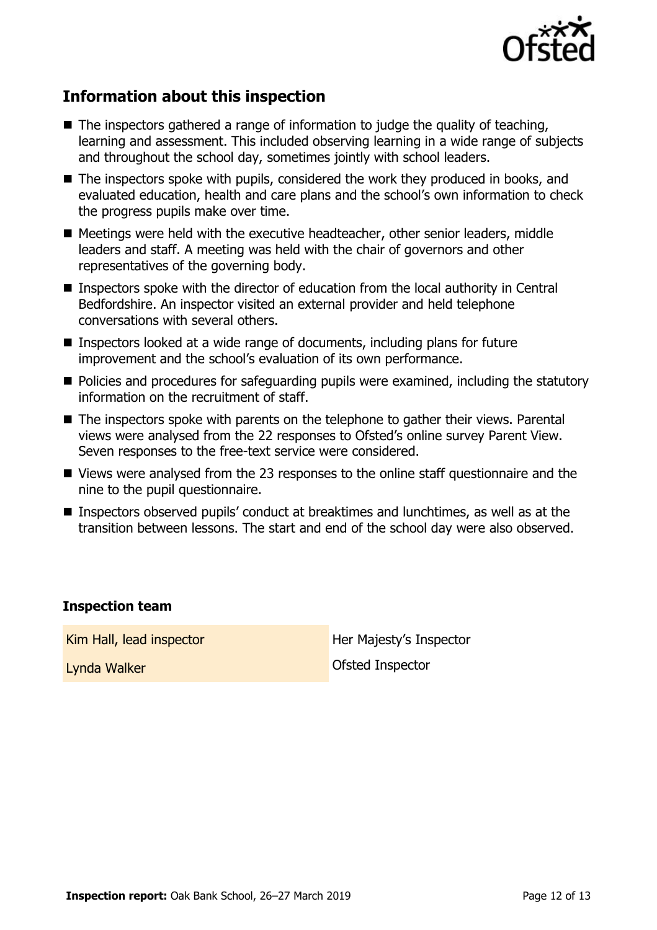

## **Information about this inspection**

- $\blacksquare$  The inspectors gathered a range of information to judge the quality of teaching, learning and assessment. This included observing learning in a wide range of subjects and throughout the school day, sometimes jointly with school leaders.
- The inspectors spoke with pupils, considered the work they produced in books, and evaluated education, health and care plans and the school's own information to check the progress pupils make over time.
- Meetings were held with the executive headteacher, other senior leaders, middle leaders and staff. A meeting was held with the chair of governors and other representatives of the governing body.
- Inspectors spoke with the director of education from the local authority in Central Bedfordshire. An inspector visited an external provider and held telephone conversations with several others.
- Inspectors looked at a wide range of documents, including plans for future improvement and the school's evaluation of its own performance.
- Policies and procedures for safeguarding pupils were examined, including the statutory information on the recruitment of staff.
- The inspectors spoke with parents on the telephone to gather their views. Parental views were analysed from the 22 responses to Ofsted's online survey Parent View. Seven responses to the free-text service were considered.
- Views were analysed from the 23 responses to the online staff questionnaire and the nine to the pupil questionnaire.
- Inspectors observed pupils' conduct at breaktimes and lunchtimes, as well as at the transition between lessons. The start and end of the school day were also observed.

### **Inspection team**

Kim Hall, lead inspector **Her Majesty's Inspector** 

Lynda Walker **Communist Communist Communist Communist Communist Communist Communist Communist Communist Communist Communist Communist Communist Communist Communist Communist Communist Communist Communist Communist Communis**